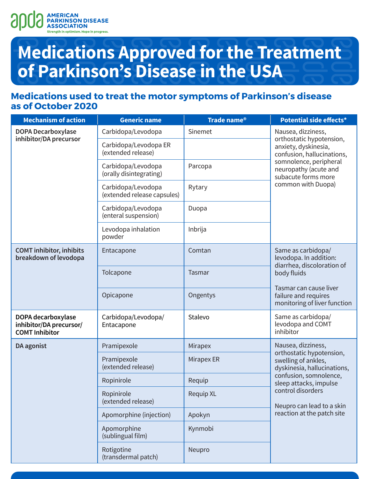

### **Medications used to treat the motor symptoms of Parkinson's disease as of October 2020**

| <b>Mechanism of action</b>                                             | <b>Generic name</b>                               | Trade name <sup>®</sup> | Potential side effects*                                                                              |  |
|------------------------------------------------------------------------|---------------------------------------------------|-------------------------|------------------------------------------------------------------------------------------------------|--|
| <b>DOPA Decarboxylase</b><br>inhibitor/DA precursor                    | Carbidopa/Levodopa                                | Sinemet                 | Nausea, dizziness,<br>orthostatic hypotension,<br>anxiety, dyskinesia,<br>confusion, hallucinations, |  |
|                                                                        | Carbidopa/Levodopa ER<br>(extended release)       |                         |                                                                                                      |  |
|                                                                        | Carbidopa/Levodopa<br>(orally disintegrating)     | Parcopa                 | somnolence, peripheral<br>neuropathy (acute and<br>subacute forms more                               |  |
|                                                                        | Carbidopa/Levodopa<br>(extended release capsules) | Rytary                  | common with Duopa)                                                                                   |  |
|                                                                        | Carbidopa/Levodopa<br>(enteral suspension)        | Duopa                   |                                                                                                      |  |
|                                                                        | Levodopa inhalation<br>powder                     | Inbrija                 |                                                                                                      |  |
| <b>COMT</b> inhibitor, inhibits<br>breakdown of levodopa               | Entacapone                                        | Comtan                  | Same as carbidopa/<br>levodopa. In addition:                                                         |  |
|                                                                        | Tolcapone                                         | <b>Tasmar</b>           | diarrhea, discoloration of<br>body fluids                                                            |  |
|                                                                        | Opicapone                                         | Ongentys                | Tasmar can cause liver<br>failure and requires<br>monitoring of liver function                       |  |
| DOPA decarboxylase<br>inhibitor/DA precursor/<br><b>COMT Inhibitor</b> | Carbidopa/Levodopa/<br>Entacapone                 | Stalevo                 | Same as carbidopa/<br>levodopa and COMT<br>inhibitor                                                 |  |
| DA agonist                                                             | Pramipexole                                       | Mirapex                 | Nausea, dizziness,                                                                                   |  |
|                                                                        | Pramipexole<br>(extended release)                 | Mirapex ER              | orthostatic hypotension,<br>swelling of ankles,<br>dyskinesia, hallucinations,                       |  |
|                                                                        | Ropinirole                                        | Requip                  | confusion, somnolence,<br>sleep attacks, impulse                                                     |  |
|                                                                        | Ropinirole<br>(extended release)                  | <b>Requip XL</b>        | control disorders<br>Neupro can lead to a skin<br>reaction at the patch site                         |  |
|                                                                        | Apomorphine (injection)                           | Apokyn                  |                                                                                                      |  |
|                                                                        | Apomorphine<br>(sublingual film)                  | Kynmobi                 |                                                                                                      |  |
|                                                                        | Rotigotine<br>(transdermal patch)                 | Neupro                  |                                                                                                      |  |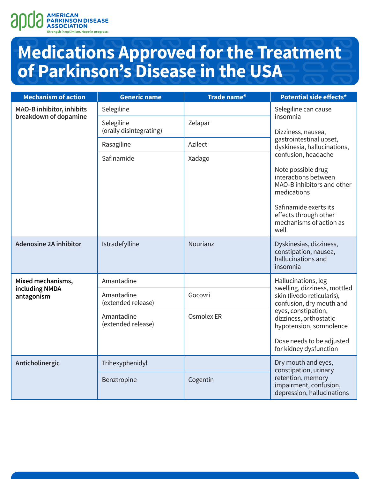

| <b>Mechanism of action</b>                                | <b>Generic name</b>                   | Trade name <sup>®</sup> | Potential side effects*                                                                                                   |  |
|-----------------------------------------------------------|---------------------------------------|-------------------------|---------------------------------------------------------------------------------------------------------------------------|--|
| <b>MAO-B inhibitor, inhibits</b><br>breakdown of dopamine | Selegiline                            |                         | Selegiline can cause                                                                                                      |  |
|                                                           | Selegiline<br>(orally disintegrating) | Zelapar                 | insomnia<br>Dizziness, nausea,<br>gastrointestinal upset,<br>dyskinesia, hallucinations,<br>confusion, headache           |  |
|                                                           | Rasagiline                            | Azilect                 |                                                                                                                           |  |
|                                                           | Safinamide                            | Xadago                  |                                                                                                                           |  |
|                                                           |                                       |                         | Note possible drug<br>interactions between<br>MAO-B inhibitors and other<br>medications                                   |  |
|                                                           |                                       |                         | Safinamide exerts its<br>effects through other<br>mechanisms of action as<br>well                                         |  |
| <b>Adenosine 2A inhibitor</b>                             | Istradefylline                        | Nourianz                | Dyskinesias, dizziness,<br>constipation, nausea,<br>hallucinations and<br>insomnia                                        |  |
| Mixed mechanisms,<br>including NMDA<br>antagonism         | Amantadine                            |                         | Hallucinations, leg<br>swelling, dizziness, mottled<br>skin (livedo reticularis),<br>confusion, dry mouth and             |  |
|                                                           | Amantadine<br>(extended release)      | Gocovri                 |                                                                                                                           |  |
|                                                           | Amantadine<br>(extended release)      | Osmolex ER              | eyes, constipation,<br>dizziness, orthostatic<br>hypotension, somnolence                                                  |  |
|                                                           |                                       |                         | Dose needs to be adjusted<br>for kidney dysfunction                                                                       |  |
| Anticholinergic                                           | Trihexyphenidyl                       |                         | Dry mouth and eyes,<br>constipation, urinary<br>retention, memory<br>impairment, confusion,<br>depression, hallucinations |  |
|                                                           | Benztropine                           | Cogentin                |                                                                                                                           |  |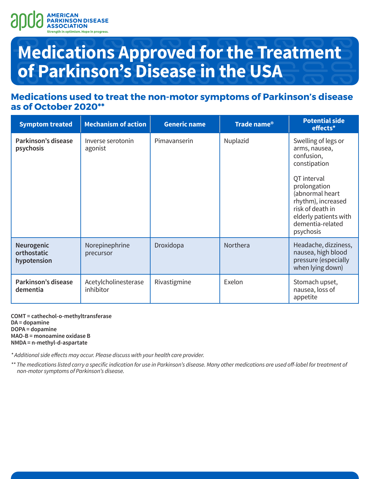

### **Medications used to treat the non-motor symptoms of Parkinson's disease as of October 2020\*\***

| <b>Symptom treated</b>                   | <b>Mechanism of action</b>        | <b>Generic name</b> | Trade name <sup>®</sup> | <b>Potential side</b><br>effects*                                                                                                                                                                                        |
|------------------------------------------|-----------------------------------|---------------------|-------------------------|--------------------------------------------------------------------------------------------------------------------------------------------------------------------------------------------------------------------------|
| Parkinson's disease<br>psychosis         | Inverse serotonin<br>agonist      | Pimavanserin        | Nuplazid                | Swelling of legs or<br>arms, nausea,<br>confusion,<br>constipation<br>QT interval<br>prolongation<br>(abnormal heart<br>rhythm), increased<br>risk of death in<br>elderly patients with<br>dementia-related<br>psychosis |
| Neurogenic<br>orthostatic<br>hypotension | Norepinephrine<br>precursor       | Droxidopa           | Northera                | Headache, dizziness,<br>nausea, high blood<br>pressure (especially<br>when lying down)                                                                                                                                   |
| Parkinson's disease<br>dementia          | Acetylcholinesterase<br>inhibitor | Rivastigmine        | Exelon                  | Stomach upset,<br>nausea, loss of<br>appetite                                                                                                                                                                            |

**COMT = cathechol-o-methyltransferase DA = dopamine DOPA = dopamine MAO-B = monoamine oxidase B NMDA = n-methyl-d-aspartate**

\* Additional side effects may occur. Please discuss with your health care provider.

\*\* The medications listed carry a specific indication for use in Parkinson's disease. Many other medications are used off-label for treatment of non-motor symptoms of Parkinson's disease.